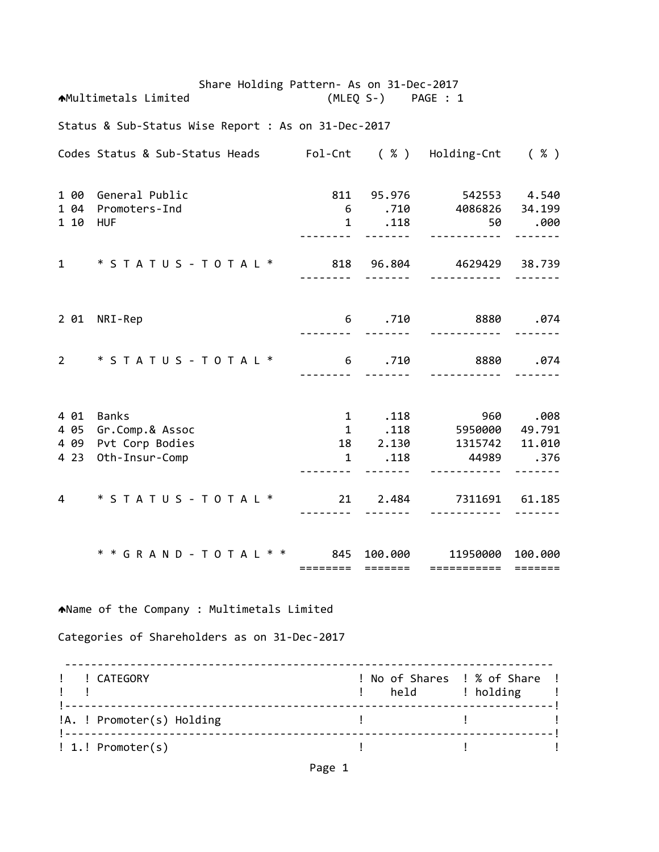Share Holding Pattern‐ As on 31‐Dec‐2017 Multimetals Limited (MLEQ S‐) PAGE : 1 Status & Sub‐Status Wise Report : As on 31‐Dec‐2017 Codes Status & Sub‐Status Heads Fol‐Cnt ( % ) Holding‐Cnt ( % ) 1 00 General Public 811 95.976 542553 4.540 1 04 Promoters‐Ind 6 .710 4086826 34.199 1 10 HUF 1 .118 50 .000 ‐‐‐‐‐‐‐‐ ‐‐‐‐‐‐‐ ‐‐‐‐‐‐‐‐‐‐‐ ‐‐‐‐‐‐‐ 1 \* S T A T U S ‐ T O T A L \* 818 96.804 4629429 38.739 ‐‐‐‐‐‐‐‐ ‐‐‐‐‐‐‐ ‐‐‐‐‐‐‐‐‐‐‐ ‐‐‐‐‐‐‐ 2 01 NRI‐Rep 6 .710 8880 .074 ‐‐‐‐‐‐‐‐ ‐‐‐‐‐‐‐ ‐‐‐‐‐‐‐‐‐‐‐ ‐‐‐‐‐‐‐ 2 \* S T A T U S ‐ T O T A L \* 6 .710 8880 .074 ‐‐‐‐‐‐‐‐ ‐‐‐‐‐‐‐ ‐‐‐‐‐‐‐‐‐‐‐ ‐‐‐‐‐‐‐ 4 01 Banks 1 .118 960 .008 4 05 Gr.Comp.& Assoc 1 .118 5950000 49.791 4 09 Pvt Corp Bodies 18 2.130 1315742 11.010 4 23 Oth‐Insur‐Comp 1 .118 44989 .376 ‐‐‐‐‐‐‐‐ ‐‐‐‐‐‐‐ ‐‐‐‐‐‐‐‐‐‐‐ ‐‐‐‐‐‐‐ 4 \* S T A T U S ‐ T O T A L \* 21 2.484 7311691 61.185 ‐‐‐‐‐‐‐‐ ‐‐‐‐‐‐‐ ‐‐‐‐‐‐‐‐‐‐‐ ‐‐‐‐‐‐‐ \* \* G R A N D ‐ T O T A L \* \* 845 100.000 11950000 100.000 ======== ======= =========== ======= Name of the Company : Multimetals Limited Categories of Shareholders as on 31‐Dec‐2017 ‐‐‐‐‐‐‐‐‐‐‐‐‐‐‐‐‐‐‐‐‐‐‐‐‐‐‐‐‐‐‐‐‐‐‐‐‐‐‐‐‐‐‐‐‐‐‐‐‐‐‐‐‐‐‐‐‐‐‐‐‐‐‐‐‐‐‐‐‐‐‐‐‐‐‐ ! ! CATEGORY ! No of Shares ! % of Share ! example to the set of the set of the set of the set of the set of the set of the set of the set of the set of t !‐‐‐‐‐‐‐‐‐‐‐‐‐‐‐‐‐‐‐‐‐‐‐‐‐‐‐‐‐‐‐‐‐‐‐‐‐‐‐‐‐‐‐‐‐‐‐‐‐‐‐‐‐‐‐‐‐‐‐‐‐‐‐‐‐‐‐‐‐‐‐‐‐‐‐! !A. ! Promoter(s) Holding ! ! !‐‐‐‐‐‐‐‐‐‐‐‐‐‐‐‐‐‐‐‐‐‐‐‐‐‐‐‐‐‐‐‐‐‐‐‐‐‐‐‐‐‐‐‐‐‐‐‐‐‐‐‐‐‐‐‐‐‐‐‐‐‐‐‐‐‐‐‐‐‐‐‐‐‐‐!

! 1.! Promoter(s) ! ! !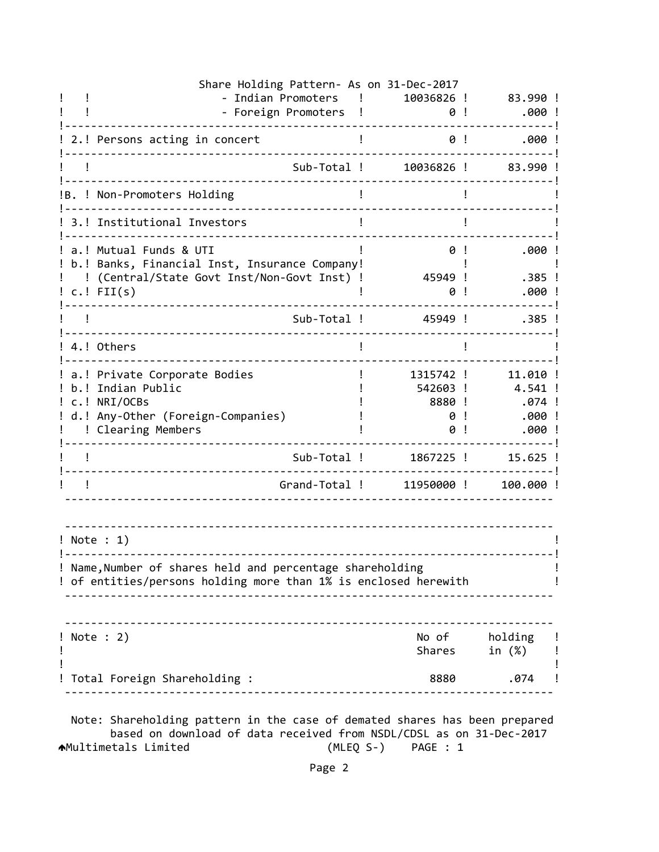| Share Holding Pattern- As on 31-Dec-2017                                                                                                      |                                           |                                                 |
|-----------------------------------------------------------------------------------------------------------------------------------------------|-------------------------------------------|-------------------------------------------------|
| - Indian Promoters<br>- Foreign Promoters                                                                                                     | 10036826 !<br>0!                          | 83.990 !<br>.000!                               |
| 2.! Persons acting in concert                                                                                                                 | 0!                                        | .000!                                           |
| Sub-Total !                                                                                                                                   | 10036826 !                                | 83.990!                                         |
| !B. ! Non-Promoters Holding                                                                                                                   |                                           |                                                 |
| 3.! Institutional Investors                                                                                                                   |                                           |                                                 |
| a.! Mutual Funds & UTI<br>b.! Banks, Financial Inst, Insurance Company!<br>(Central/State Govt Inst/Non-Govt Inst) !<br>$c.$ ! FII $(s)$      | 0!<br>45949 !<br>0                        | .000!<br>.385 !<br>.000                         |
| Sub-Total !                                                                                                                                   | 45949 !                                   | $.385$ !                                        |
| 4.! Others                                                                                                                                    |                                           |                                                 |
| a.! Private Corporate Bodies<br>b.! Indian Public<br>c.! NRI/OCBs<br>d.! Any-Other (Foreign-Companies)<br>! Clearing Members                  | 1315742 !<br>542603 !<br>8880 !<br>0<br>0 | 11.010 !<br>4.541 !<br>.074 !<br>.000!<br>.000! |
| Sub-Total !                                                                                                                                   | 1867225 !                                 | $15.625$ !                                      |
| Grand-Total !                                                                                                                                 | 11950000 !                                | 100.000 !                                       |
| $!$ Note : 1)<br>! Name, Number of shares held and percentage shareholding<br>! of entities/persons holding more than 1% is enclosed herewith |                                           |                                                 |
| ! Note : 2)                                                                                                                                   | Shares                                    | No of holding<br>in (%)                         |
| Total Foreign Shareholding :                                                                                                                  |                                           | .074<br>8880                                    |
| Note: Shareholding pattern in the case of demated shares has been prepared                                                                    |                                           |                                                 |

 based on download of data received from NSDL/CDSL as on 31‐Dec‐2017 Multimetals Limited (MLEQ S‐) PAGE : 1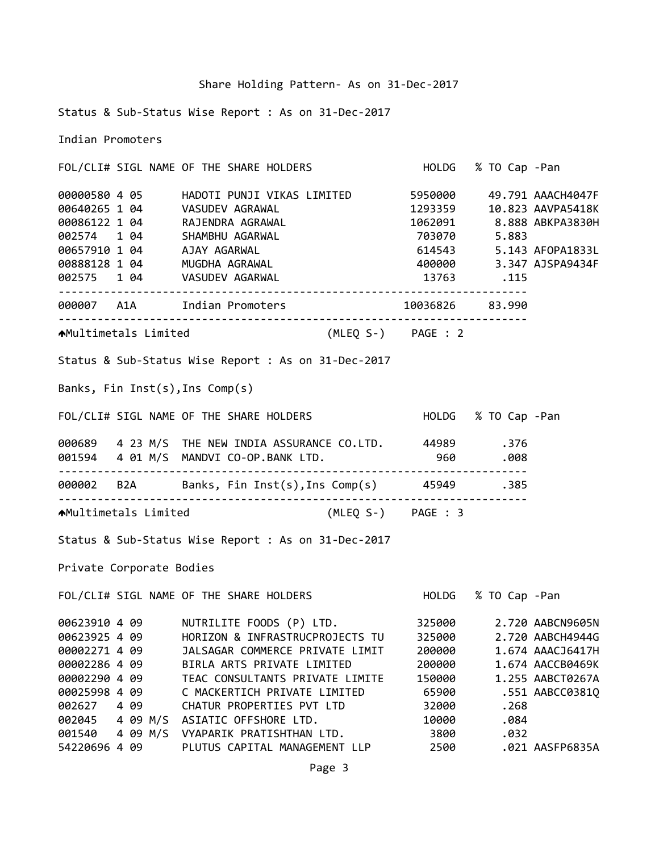Status & Sub‐Status Wise Report : As on 31‐Dec‐2017

Indian Promoters

FOL/CLI# SIGL NAME OF THE SHARE HOLDERS HOLDG % TO Cap ‐Pan 4 05 HADOTI PUNJI VIKAS LIMITED 5950000 49.791 AAACH4047F 1 04 VASUDEV AGRAWAL 1293359 10.823 AAVPA5418K 1 04 RAJENDRA AGRAWAL 1062091 8.888 ABKPA3830H 1 04 SHAMBHU AGARWAL 703070 5.883 1 04 AJAY AGARWAL 614543 5.143 AFOPA1833L 1 04 MUGDHA AGRAWAL 400000 3.347 AJSPA9434F 1 04 VASUDEV AGARWAL 13763 .115 ‐‐‐‐‐‐‐‐‐‐‐‐‐‐‐‐‐‐‐‐‐‐‐‐‐‐‐‐‐‐‐‐‐‐‐‐‐‐‐‐‐‐‐‐‐‐‐‐‐‐‐‐‐‐‐‐‐‐‐‐‐‐‐‐‐‐‐‐‐‐‐‐ A1A Indian Promoters 10036826 83.990 ‐‐‐‐‐‐‐‐‐‐‐‐‐‐‐‐‐‐‐‐‐‐‐‐‐‐‐‐‐‐‐‐‐‐‐‐‐‐‐‐‐‐‐‐‐‐‐‐‐‐‐‐‐‐‐‐‐‐‐‐‐‐‐‐‐‐‐‐‐‐‐‐ Multimetals Limited (MLEQ S‐) PAGE : 2 Status & Sub‐Status Wise Report : As on 31‐Dec‐2017 Banks, Fin Inst(s),Ins Comp(s) FOL/CLI# SIGL NAME OF THE SHARE HOLDERS HOLDG % TO Cap ‐Pan 4 23 M/S THE NEW INDIA ASSURANCE CO.LTD. 44989 .376 4 01 M/S MANDVI CO‐OP.BANK LTD. 960 .008 ‐‐‐‐‐‐‐‐‐‐‐‐‐‐‐‐‐‐‐‐‐‐‐‐‐‐‐‐‐‐‐‐‐‐‐‐‐‐‐‐‐‐‐‐‐‐‐‐‐‐‐‐‐‐‐‐‐‐‐‐‐‐‐‐‐‐‐‐‐‐‐‐ B2A Banks, Fin Inst(s),Ins Comp(s) 45949 .385 ‐‐‐‐‐‐‐‐‐‐‐‐‐‐‐‐‐‐‐‐‐‐‐‐‐‐‐‐‐‐‐‐‐‐‐‐‐‐‐‐‐‐‐‐‐‐‐‐‐‐‐‐‐‐‐‐‐‐‐‐‐‐‐‐‐‐‐‐‐‐‐‐ Multimetals Limited (MLEQ S‐) PAGE : 3 Status & Sub‐Status Wise Report : As on 31‐Dec‐2017 Private Corporate Bodies FOL/CLI# SIGL NAME OF THE SHARE HOLDERS HOLDG % TO Cap ‐Pan 4 09 NUTRILITE FOODS (P) LTD. 325000 2.720 AABCN9605N 4 09 HORIZON & INFRASTRUCPROJECTS TU 325000 2.720 AABCH4944G 4 09 JALSAGAR COMMERCE PRIVATE LIMIT 200000 1.674 AAACJ6417H 4 09 BIRLA ARTS PRIVATE LIMITED 200000 1.674 AACCB0469K 4 09 TEAC CONSULTANTS PRIVATE LIMITE 150000 1.255 AABCT0267A 4 09 C MACKERTICH PRIVATE LIMITED 65900 .551 AABCC0381Q 4 09 CHATUR PROPERTIES PVT LTD 32000 .268 4 09 M/S ASIATIC OFFSHORE LTD. 10000 .084 4 09 M/S VYAPARIK PRATISHTHAN LTD. 3800 .032

54220696 4 09 PLUTUS CAPITAL MANAGEMENT LLP 2500 .021 AASFP6835A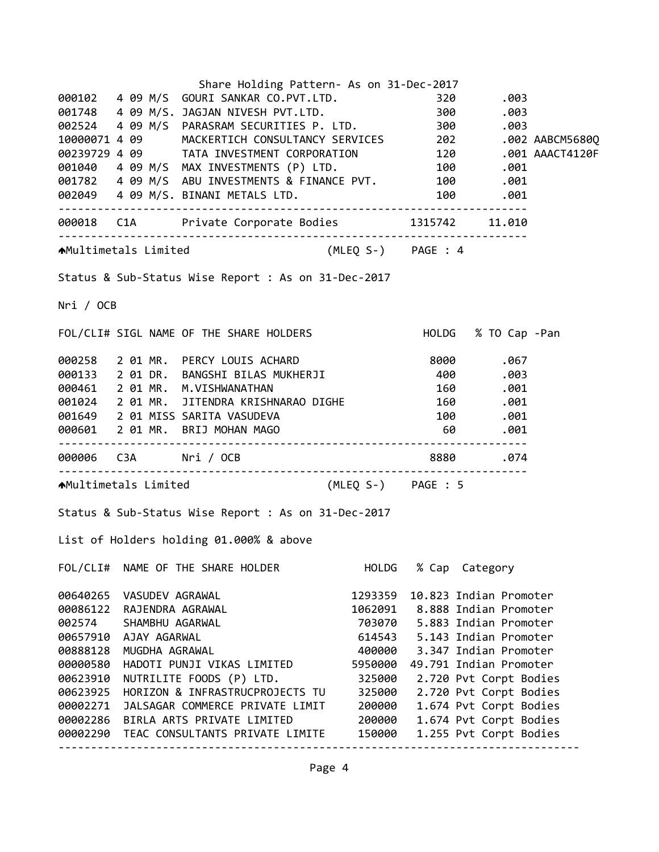|           |                          | Share Holding Pattern- As on 31-Dec-2017                                                                                                                                      |         |    |                                |  |
|-----------|--------------------------|-------------------------------------------------------------------------------------------------------------------------------------------------------------------------------|---------|----|--------------------------------|--|
|           |                          | 000102 4 09 M/S GOURI SANKAR CO.PVT.LTD.                                                                                                                                      |         |    | 320 .003                       |  |
|           |                          |                                                                                                                                                                               |         |    |                                |  |
|           |                          |                                                                                                                                                                               |         |    |                                |  |
|           |                          | 002524  4  09  M/S  PARASRAM SECURITIES P. LTD.  300  .003<br>10000071  4  09  MACKERTICH CONSULTANCY SERVICES  202  .002 AABCM5680Q                                          |         |    |                                |  |
|           |                          |                                                                                                                                                                               |         |    |                                |  |
|           |                          | 00239729 4 09 TATA INVESTMENT CORPORATION 120 .001 AAACT4120F<br>001040 4 09 M/S MAX INVESTMENTS (P) LTD. 100 .001<br>001782 4 09 M/S ABU INVESTMENTS & FINANCE PVT. 100 .001 |         |    |                                |  |
|           |                          |                                                                                                                                                                               |         |    |                                |  |
|           |                          |                                                                                                                                                                               |         |    |                                |  |
|           |                          |                                                                                                                                                                               |         |    |                                |  |
|           |                          |                                                                                                                                                                               |         |    |                                |  |
|           |                          | AMultimetals Limited (MLEQ S-) PAGE : 4                                                                                                                                       |         |    |                                |  |
|           |                          | Status & Sub-Status Wise Report : As on 31-Dec-2017                                                                                                                           |         |    |                                |  |
| Nri / OCB |                          |                                                                                                                                                                               |         |    |                                |  |
|           |                          | FOL/CLI# SIGL NAME OF THE SHARE HOLDERS HOLD HOLDG % TO Cap -Pan                                                                                                              |         |    |                                |  |
|           |                          |                                                                                                                                                                               |         |    |                                |  |
|           |                          |                                                                                                                                                                               |         |    |                                |  |
|           |                          | 000258 2 01 MR. PERCY LOUIS ACHARD 8000 .067<br>000133 2 01 DR. BANGSHI BILAS MUKHERJI 400 .003<br>000461 2 01 MR. M.VISHWANATHAN 160 .001                                    |         |    |                                |  |
|           |                          | 001024 2 01 MR. JITENDRA KRISHNARAO DIGHE 160 .001                                                                                                                            |         |    |                                |  |
|           |                          |                                                                                                                                                                               |         |    |                                |  |
|           |                          | 001649 2 01 MISS SARITA VASUDEVA                                                                                                                                              |         |    | 100.001                        |  |
|           |                          | 000601 2 01 MR. BRIJ MOHAN MAGO                                                                                                                                               |         | 60 | .001                           |  |
|           |                          |                                                                                                                                                                               |         |    | 8880.074                       |  |
|           |                          | AMultimetals Limited (MLEQ S-) PAGE : 5                                                                                                                                       |         |    |                                |  |
|           |                          | Status & Sub-Status Wise Report : As on 31-Dec-2017                                                                                                                           |         |    |                                |  |
|           |                          | List of Holders holding 01.000% & above                                                                                                                                       |         |    |                                |  |
|           |                          | FOL/CLI# NAME OF THE SHARE HOLDER                                                                                                                                             | HOLDG   |    | % Cap Category                 |  |
|           | 00640265 VASUDEV AGRAWAL |                                                                                                                                                                               | 1293359 |    | 10.823 Indian Promoter         |  |
| 00086122  | RAJENDRA AGRAWAL         |                                                                                                                                                                               |         |    | 1062091 8.888 Indian Promoter  |  |
| 002574    | SHAMBHU AGARWAL          |                                                                                                                                                                               |         |    | 703070 5.883 Indian Promoter   |  |
|           | 00657910 AJAY AGARWAL    |                                                                                                                                                                               |         |    | 614543 5.143 Indian Promoter   |  |
| 00888128  | MUGDHA AGRAWAL           |                                                                                                                                                                               |         |    | 400000 3.347 Indian Promoter   |  |
| 00000580  |                          | HADOTI PUNJI VIKAS LIMITED                                                                                                                                                    |         |    | 5950000 49.791 Indian Promoter |  |
| 00623910  |                          | NUTRILITE FOODS (P) LTD.                                                                                                                                                      | 325000  |    | 2.720 Pvt Corpt Bodies         |  |
| 00623925  |                          | HORIZON & INFRASTRUCPROJECTS TU                                                                                                                                               | 325000  |    | 2.720 Pvt Corpt Bodies         |  |
| 00002271  |                          | JALSAGAR COMMERCE PRIVATE LIMIT                                                                                                                                               | 200000  |    | 1.674 Pvt Corpt Bodies         |  |
|           |                          | 00002286 BIRLA ARTS PRIVATE LIMITED                                                                                                                                           | 200000  |    | 1.674 Pvt Corpt Bodies         |  |
|           |                          | 00002290 TEAC CONSULTANTS PRIVATE LIMITE                                                                                                                                      | 150000  |    | 1.255 Pvt Corpt Bodies         |  |
|           |                          |                                                                                                                                                                               |         |    |                                |  |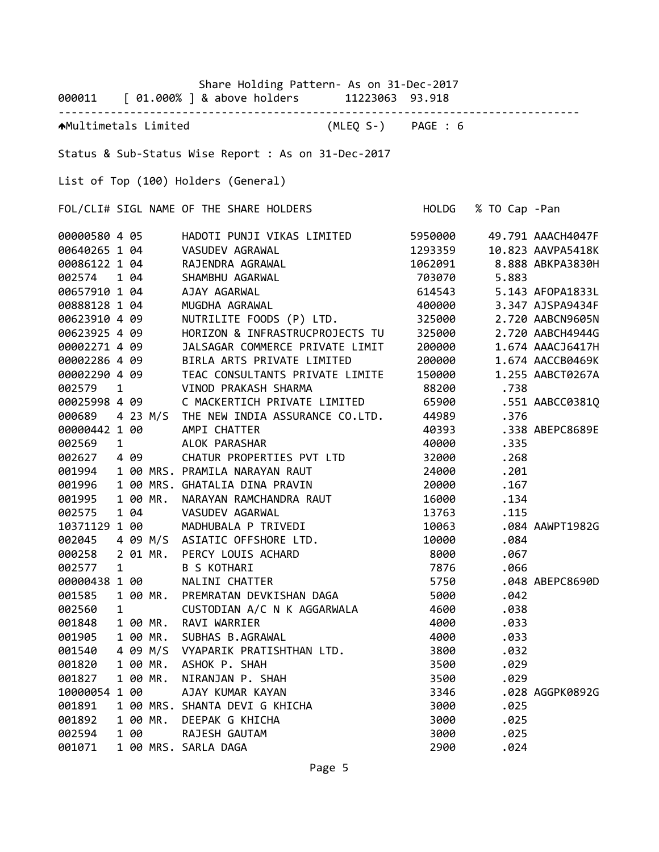|               |   |                        |          | Share Holding Pattern- As on 31-Dec-2017<br>000011 [ 01.000% ] & above holders 11223063 93.918 |                    |               |                          |
|---------------|---|------------------------|----------|------------------------------------------------------------------------------------------------|--------------------|---------------|--------------------------|
|               |   |                        |          |                                                                                                |                    |               |                          |
|               |   |                        |          | AMultimetals Limited                                                                           | (MLEQ S-) PAGE : 6 |               |                          |
|               |   |                        |          | Status & Sub-Status Wise Report : As on 31-Dec-2017                                            |                    |               |                          |
|               |   |                        |          | List of Top (100) Holders (General)                                                            |                    |               |                          |
|               |   |                        |          | FOL/CLI# SIGL NAME OF THE SHARE HOLDERS                                                        | HOLDG              | % TO Cap -Pan |                          |
| 00000580 4 05 |   |                        |          | HADOTI PUNJI VIKAS LIMITED 5950000                                                             |                    |               | 49.791 AAACH4047F        |
|               |   |                        |          | 00640265 1 04 VASUDEV AGRAWAL                                                                  | 1293359            |               | 10.823 AAVPA5418K        |
| 00086122 1 04 |   |                        |          | RAJENDRA AGRAWAL                                                                               |                    |               | 1062091 8.888 ABKPA3830H |
| 002574 1 04   |   |                        |          | SHAMBHU AGARWAL                                                                                | 703070             | 5.883         |                          |
| 00657910 1 04 |   |                        |          | AJAY AGARWAL                                                                                   | 614543             |               | 5.143 AFOPA1833L         |
| 00888128 1 04 |   |                        |          | MUGDHA AGRAWAL                                                                                 | 400000             |               | 3.347 AJSPA9434F         |
| 00623910 4 09 |   |                        |          | NUTRILITE FOODS (P) LTD.                                                                       | 325000             |               | 2.720 AABCN9605N         |
| 00623925 4 09 |   |                        |          | HORIZON & INFRASTRUCPROJECTS TU                                                                | 325000             |               | 2.720 AABCH4944G         |
| 00002271 4 09 |   |                        |          | JALSAGAR COMMERCE PRIVATE LIMIT                                                                | 200000             |               | 1.674 AAACJ6417H         |
| 00002286 4 09 |   |                        |          | BIRLA ARTS PRIVATE LIMITED                                                                     | 200000             |               | 1.674 AACCB0469K         |
| 00002290 4 09 |   |                        |          | TEAC CONSULTANTS PRIVATE LIMITE                                                                | 150000             |               | 1.255 AABCT0267A         |
| 002579        | 1 |                        |          | VINOD PRAKASH SHARMA                                                                           | 88200              | .738          |                          |
| 00025998 4 09 |   |                        |          | C MACKERTICH PRIVATE LIMITED                                                                   | 65900              |               | .551 AABCC0381Q          |
| 000689        |   |                        |          | 4 23 M/S THE NEW INDIA ASSURANCE CO.LTD.                                                       | 44989              | .376          |                          |
| 00000442 1 00 |   |                        |          | AMPI CHATTER                                                                                   | 40393              |               | .338 ABEPC8689E          |
| 002569        |   | $1 \quad \blacksquare$ |          | ALOK PARASHAR                                                                                  | 40000              | .335          |                          |
| 002627        |   | 4 09                   |          | CHATUR PROPERTIES PVT LTD                                                                      | 32000              | .268          |                          |
| 001994        |   |                        |          | 1 00 MRS. PRAMILA NARAYAN RAUT                                                                 | 24000              | .201          |                          |
| 001996        |   |                        |          | 1 00 MRS. GHATALIA DINA PRAVIN                                                                 | 20000              | .167          |                          |
| 001995        |   |                        | 1 00 MR. | NARAYAN RAMCHANDRA RAUT                                                                        | 16000              | .134          |                          |
| 002575        |   | 1 04                   |          | VASUDEV AGARWAL                                                                                |                    | 13763 .115    |                          |
| 10371129 1 00 |   |                        |          | MADHUBALA P TRIVEDI                                                                            | 10063              |               | .084 AAWPT1982G          |
|               |   |                        |          | 002045 4 09 M/S ASIATIC OFFSHORE LTD.                                                          | 10000              | .084          |                          |
| 000258        |   |                        | 2 01 MR. | PERCY LOUIS ACHARD                                                                             | 8000               | .067          |                          |
| 002577        | 1 |                        |          | <b>B S KOTHARI</b>                                                                             | 7876               | .066          |                          |
| 00000438 1 00 |   |                        |          | NALINI CHATTER                                                                                 | 5750               |               | .048 ABEPC8690D          |
| 001585        |   |                        | 1 00 MR. | PREMRATAN DEVKISHAN DAGA                                                                       | 5000               | .042          |                          |
| 002560        | 1 |                        |          | CUSTODIAN A/C N K AGGARWALA                                                                    | 4600               | .038          |                          |
| 001848        |   |                        | 1 00 MR. | RAVI WARRIER                                                                                   | 4000               | .033          |                          |
| 001905        |   |                        | 1 00 MR. | SUBHAS B.AGRAWAL                                                                               | 4000               | .033          |                          |
| 001540        |   |                        | 4 09 M/S | VYAPARIK PRATISHTHAN LTD.                                                                      | 3800               | .032          |                          |
| 001820        |   |                        | 1 00 MR. | ASHOK P. SHAH                                                                                  | 3500               | .029          |                          |
| 001827        |   |                        | 1 00 MR. | NIRANJAN P. SHAH                                                                               | 3500               | .029          |                          |
| 10000054 1 00 |   |                        |          | AJAY KUMAR KAYAN                                                                               | 3346               |               | .028 AGGPK0892G          |
| 001891        |   |                        |          | 1 00 MRS. SHANTA DEVI G KHICHA                                                                 | 3000               | .025          |                          |
| 001892        |   |                        | 1 00 MR. | DEEPAK G KHICHA                                                                                | 3000               | .025          |                          |
| 002594        |   | 1 00                   |          | RAJESH GAUTAM                                                                                  | 3000               | .025          |                          |
| 001071        |   |                        |          | 1 00 MRS. SARLA DAGA                                                                           | 2900               | .024          |                          |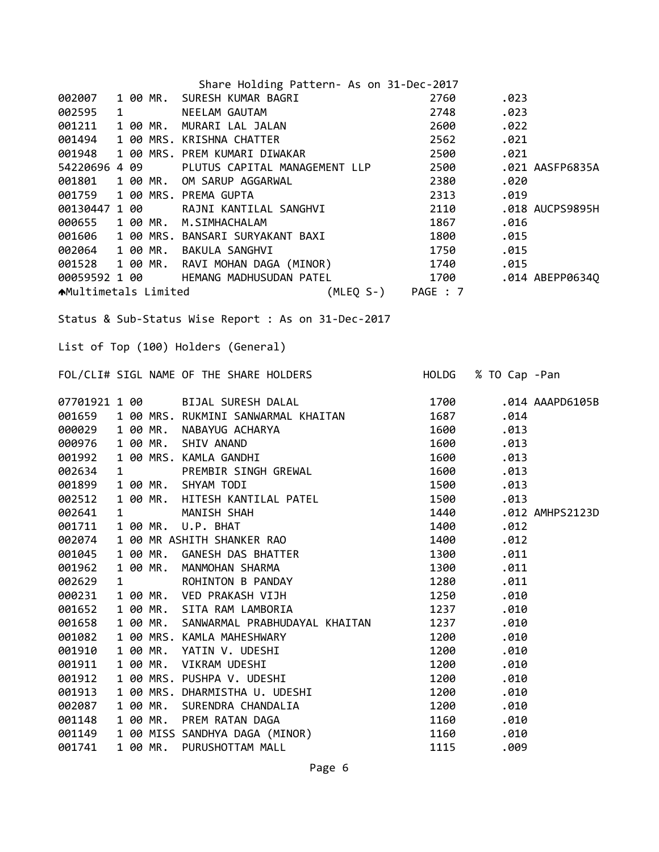|                             |              |          | Share Holding Pattern- As on 31-Dec-2017                                                                                                                                                                       |                      |                      |                 |
|-----------------------------|--------------|----------|----------------------------------------------------------------------------------------------------------------------------------------------------------------------------------------------------------------|----------------------|----------------------|-----------------|
| 002007                      |              |          | 1 00 MR. SURESH KUMAR BAGRI                                                                                                                                                                                    | 2760                 | .023                 |                 |
| 002595                      |              |          |                                                                                                                                                                                                                | 2748                 | .023                 |                 |
| 001211                      |              |          | 1 00 MK. SURESTI NOTUME<br>1 MEELAM GAUTAM<br>1 00 MR. MURARI LAL JALAN                                                                                                                                        | 2600                 | .022                 |                 |
| 001494                      |              |          |                                                                                                                                                                                                                | 2562                 | .021                 |                 |
| 001948                      |              |          | 1 00 MRS. PREM KUMARI DIWAKAR                                                                                                                                                                                  | 2500                 | .021                 |                 |
| 54220696 4 09               |              |          | PLUTUS CAPITAL MANAGEMENT LLP                                                                                                                                                                                  | 2500                 |                      | .021 AASFP6835A |
| 001801                      |              |          | 1 00 MR. OM SARUP AGGARWAL                                                                                                                                                                                     | 2380                 | .020                 |                 |
| 001759                      |              |          | 1 00 MRS. PREMA GUPTA                                                                                                                                                                                          | 2313                 | .019                 |                 |
| 00130447 1 00               |              |          | RAJNI KANTILAL SANGHVI<br>M STMHACHALAM                                                                                                                                                                        | 2110                 |                      | .018 AUCPS9895H |
| 000655                      |              |          | 1 00 MR. M.SIMHACHALAM                                                                                                                                                                                         | 1867                 | .016                 |                 |
|                             |              |          | 001606 1 00 MRS. BANSARI SURYAKANT BAXI                                                                                                                                                                        | 1800                 | .015                 |                 |
|                             |              |          | 002064 1 00 MR. BAKULA SANGHVI                                                                                                                                                                                 | 1750                 | .015                 |                 |
|                             |              |          | 001528 1 00 MR. RAVI MOHAN DAGA (MINOR) 1740                                                                                                                                                                   |                      | .015                 |                 |
|                             |              |          | 00059592 1 00 HEMANG MADHUSUDAN PATEL                                                                                                                                                                          | 1700 .014 ABEPP0634Q |                      |                 |
| <b>★Multimetals Limited</b> |              |          |                                                                                                                                                                                                                | (MLEQ S-) PAGE : 7   |                      |                 |
|                             |              |          |                                                                                                                                                                                                                |                      |                      |                 |
|                             |              |          | Status & Sub-Status Wise Report : As on 31-Dec-2017                                                                                                                                                            |                      |                      |                 |
|                             |              |          |                                                                                                                                                                                                                |                      |                      |                 |
|                             |              |          | List of Top (100) Holders (General)                                                                                                                                                                            |                      |                      |                 |
|                             |              |          |                                                                                                                                                                                                                |                      |                      |                 |
|                             |              |          | FOL/CLI# SIGL NAME OF THE SHARE HOLDERS                                                                                                                                                                        |                      | HOLDG % TO Cap - Pan |                 |
|                             |              |          | 07701921 1 00 BIJAL SURESH DALAL                                                                                                                                                                               | 1700                 |                      | .014 AAAPD6105B |
|                             |              |          | 001659 1 00 MRS. RUKMINI SANWARMAL KHAITAN<br>000029 1 00 MR. NABAYUG ACHARYA<br>000976 1 00 MR. SHIV ANAND<br>001992 1 00 MRS. KAMLA GANDHI<br>002634 1 PREMBIR SINGH GREWAL<br>001900 1 00 MRS. KAMLA GANDHI | 1687                 | .014                 |                 |
|                             |              |          |                                                                                                                                                                                                                | 1600                 | .013                 |                 |
|                             |              |          |                                                                                                                                                                                                                | 1600                 | .013                 |                 |
|                             |              |          |                                                                                                                                                                                                                | 1600                 | .013                 |                 |
|                             |              |          |                                                                                                                                                                                                                | 1600                 | .013                 |                 |
| 001899                      |              |          | 1 00 MR. SHYAM TODI                                                                                                                                                                                            | 1500                 | .013                 |                 |
| 002512                      |              |          | 1 00 MR. HITESH KANTILAL PATEL                                                                                                                                                                                 | 1500                 | .013                 |                 |
| 002641                      | $\mathbf{1}$ |          | MANISH SHAH                                                                                                                                                                                                    | 1440                 |                      | .012 AMHPS2123D |
| 001711                      |              |          | 1 00 MR. U.P. BHAT                                                                                                                                                                                             | 1400                 | .012                 |                 |
| 002074                      |              |          | 1 00 MR ASHITH SHANKER RAO                                                                                                                                                                                     | 1400                 | .012                 |                 |
| 001045                      |              |          | 1 00 MR. GANESH DAS BHATTER                                                                                                                                                                                    | 1300                 | .011                 |                 |
| 001962                      |              | 1 00 MR. | MANMOHAN SHARMA                                                                                                                                                                                                | 1300                 | .011                 |                 |
| 002629                      | 1            |          | ROHINTON B PANDAY                                                                                                                                                                                              | 1280                 | .011                 |                 |
| 000231                      |              | 1 00 MR. | VED PRAKASH VIJH                                                                                                                                                                                               | 1250                 | .010                 |                 |
| 001652                      |              | 1 00 MR. | SITA RAM LAMBORIA                                                                                                                                                                                              | 1237                 | .010                 |                 |
| 001658                      |              | 1 00 MR. | SANWARMAL PRABHUDAYAL KHAITAN                                                                                                                                                                                  | 1237                 | .010                 |                 |
| 001082                      |              |          | 1 00 MRS. KAMLA MAHESHWARY                                                                                                                                                                                     | 1200                 | .010                 |                 |
| 001910                      |              | 1 00 MR. | YATIN V. UDESHI                                                                                                                                                                                                | 1200                 | .010                 |                 |
| 001911                      |              | 1 00 MR. | VIKRAM UDESHI                                                                                                                                                                                                  | 1200                 | .010                 |                 |
| 001912                      |              |          | 1 00 MRS. PUSHPA V. UDESHI                                                                                                                                                                                     | 1200                 | .010                 |                 |
| 001913                      |              |          | 1 00 MRS. DHARMISTHA U. UDESHI                                                                                                                                                                                 | 1200                 | .010                 |                 |
| 002087                      |              | 1 00 MR. | SURENDRA CHANDALIA                                                                                                                                                                                             | 1200                 | .010                 |                 |
| 001148                      |              | 1 00 MR. | PREM RATAN DAGA                                                                                                                                                                                                | 1160                 | .010                 |                 |
| 001149                      |              |          | 1 00 MISS SANDHYA DAGA (MINOR)                                                                                                                                                                                 | 1160                 | .010                 |                 |
| 001741                      |              | 1 00 MR. | PURUSHOTTAM MALL                                                                                                                                                                                               | 1115                 | .009                 |                 |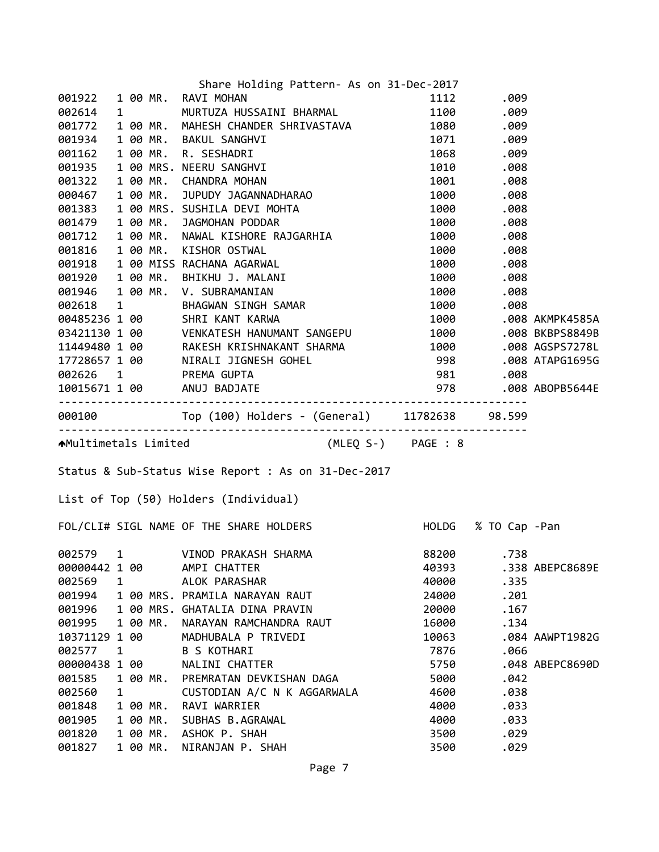| 1112 .009<br>001922<br>1 00 MR. RAVI MOHAN<br>1 bo Fint. NAVI FIORAN<br>1 MURTUZA HUSSAINI BHARMAL 1100 .009<br>002614<br>1 00 MR. MAHESH CHANDER SHRIVASTAVA 1080 .009<br>001772<br>1 00 MR. BAKUL SANGHVI<br>1 00 MR. R. SESHADRI<br>1 00 MR. R. SESHADRI<br>1 00 MRS. NEERU SANGHVI<br>1 00 MR. CHANDRA MOHAN<br>1 00 MR. CHANDRA MOHAN<br>1 00 MR. JUPUDY JAGANNADHARAO<br>1 00 MR. JUPUDY JAGANNADHARAO<br>1 00 MRS. SUSHILA D<br>001934<br>001162<br>001935<br>001322<br>000467<br>000467 100 MR. JUPUDY JAGANNADHARAO 1000 .008<br>001479 100 MR. JUPUDY JAGANNADHARAO 1000 .008<br>001479 100 MR. JAGMOHAN PODDAR<br>001712 100 MR. NAWAL KISHOR RAJGARHIA 1000 .008<br>001712 100 MR. NAWAL KISHOR OSTWAL 1000 .008<br><br>AMultimetals Limited (MLEQ S-) PAGE : 8<br>Status & Sub-Status Wise Report : As on 31-Dec-2017<br>List of Top (50) Holders (Individual)<br>FOL/CLI# SIGL NAME OF THE SHARE HOLDERS HOLD HOLDG % TO Cap -Pan<br>002579 1<br>VINOD PRAKASH SHARMA<br>88200<br>.738<br>00000442 1 00<br>40393<br>AMPI CHATTER<br>.338 ABEPC8689E<br>ALOK PARASHAR<br>40000<br>.335<br>1<br>1 00 MRS. PRAMILA NARAYAN RAUT<br>24000<br>.201<br>1 00 MRS. GHATALIA DINA PRAVIN<br>20000<br>.167<br>1 00 MR.<br>NARAYAN RAMCHANDRA RAUT<br>16000<br>.134<br>10371129 1 00<br>MADHUBALA P TRIVEDI<br>10063<br>.084 AAWPT1982G<br>7876<br><b>B S KOTHARI</b><br>.066<br>1<br>00000438 1 00<br>NALINI CHATTER<br>5750<br>.048 ABEPC8690D<br>1 00 MR.<br>PREMRATAN DEVKISHAN DAGA<br>5000<br>.042<br>CUSTODIAN A/C N K AGGARWALA<br>4600<br>.038<br>1<br>RAVI WARRIER<br>.033<br>1 00 MR.<br>4000<br>SUBHAS B.AGRAWAL<br>.033<br>1 00 MR.<br>4000<br>ASHOK P. SHAH<br>001820<br>1 00 MR.<br>3500<br>.029 |        |  | Share Holding Pattern- As on 31-Dec-2017 |  |  |
|--------------------------------------------------------------------------------------------------------------------------------------------------------------------------------------------------------------------------------------------------------------------------------------------------------------------------------------------------------------------------------------------------------------------------------------------------------------------------------------------------------------------------------------------------------------------------------------------------------------------------------------------------------------------------------------------------------------------------------------------------------------------------------------------------------------------------------------------------------------------------------------------------------------------------------------------------------------------------------------------------------------------------------------------------------------------------------------------------------------------------------------------------------------------------------------------------------------------------------------------------------------------------------------------------------------------------------------------------------------------------------------------------------------------------------------------------------------------------------------------------------------------------------------------------------------------------------------------------------------------------------------------------------------------------------------------------------------------|--------|--|------------------------------------------|--|--|
|                                                                                                                                                                                                                                                                                                                                                                                                                                                                                                                                                                                                                                                                                                                                                                                                                                                                                                                                                                                                                                                                                                                                                                                                                                                                                                                                                                                                                                                                                                                                                                                                                                                                                                                    |        |  |                                          |  |  |
|                                                                                                                                                                                                                                                                                                                                                                                                                                                                                                                                                                                                                                                                                                                                                                                                                                                                                                                                                                                                                                                                                                                                                                                                                                                                                                                                                                                                                                                                                                                                                                                                                                                                                                                    |        |  |                                          |  |  |
|                                                                                                                                                                                                                                                                                                                                                                                                                                                                                                                                                                                                                                                                                                                                                                                                                                                                                                                                                                                                                                                                                                                                                                                                                                                                                                                                                                                                                                                                                                                                                                                                                                                                                                                    |        |  |                                          |  |  |
|                                                                                                                                                                                                                                                                                                                                                                                                                                                                                                                                                                                                                                                                                                                                                                                                                                                                                                                                                                                                                                                                                                                                                                                                                                                                                                                                                                                                                                                                                                                                                                                                                                                                                                                    |        |  |                                          |  |  |
|                                                                                                                                                                                                                                                                                                                                                                                                                                                                                                                                                                                                                                                                                                                                                                                                                                                                                                                                                                                                                                                                                                                                                                                                                                                                                                                                                                                                                                                                                                                                                                                                                                                                                                                    |        |  |                                          |  |  |
|                                                                                                                                                                                                                                                                                                                                                                                                                                                                                                                                                                                                                                                                                                                                                                                                                                                                                                                                                                                                                                                                                                                                                                                                                                                                                                                                                                                                                                                                                                                                                                                                                                                                                                                    |        |  |                                          |  |  |
|                                                                                                                                                                                                                                                                                                                                                                                                                                                                                                                                                                                                                                                                                                                                                                                                                                                                                                                                                                                                                                                                                                                                                                                                                                                                                                                                                                                                                                                                                                                                                                                                                                                                                                                    |        |  |                                          |  |  |
|                                                                                                                                                                                                                                                                                                                                                                                                                                                                                                                                                                                                                                                                                                                                                                                                                                                                                                                                                                                                                                                                                                                                                                                                                                                                                                                                                                                                                                                                                                                                                                                                                                                                                                                    |        |  |                                          |  |  |
|                                                                                                                                                                                                                                                                                                                                                                                                                                                                                                                                                                                                                                                                                                                                                                                                                                                                                                                                                                                                                                                                                                                                                                                                                                                                                                                                                                                                                                                                                                                                                                                                                                                                                                                    |        |  |                                          |  |  |
|                                                                                                                                                                                                                                                                                                                                                                                                                                                                                                                                                                                                                                                                                                                                                                                                                                                                                                                                                                                                                                                                                                                                                                                                                                                                                                                                                                                                                                                                                                                                                                                                                                                                                                                    |        |  |                                          |  |  |
|                                                                                                                                                                                                                                                                                                                                                                                                                                                                                                                                                                                                                                                                                                                                                                                                                                                                                                                                                                                                                                                                                                                                                                                                                                                                                                                                                                                                                                                                                                                                                                                                                                                                                                                    |        |  |                                          |  |  |
|                                                                                                                                                                                                                                                                                                                                                                                                                                                                                                                                                                                                                                                                                                                                                                                                                                                                                                                                                                                                                                                                                                                                                                                                                                                                                                                                                                                                                                                                                                                                                                                                                                                                                                                    |        |  |                                          |  |  |
|                                                                                                                                                                                                                                                                                                                                                                                                                                                                                                                                                                                                                                                                                                                                                                                                                                                                                                                                                                                                                                                                                                                                                                                                                                                                                                                                                                                                                                                                                                                                                                                                                                                                                                                    |        |  |                                          |  |  |
|                                                                                                                                                                                                                                                                                                                                                                                                                                                                                                                                                                                                                                                                                                                                                                                                                                                                                                                                                                                                                                                                                                                                                                                                                                                                                                                                                                                                                                                                                                                                                                                                                                                                                                                    |        |  |                                          |  |  |
|                                                                                                                                                                                                                                                                                                                                                                                                                                                                                                                                                                                                                                                                                                                                                                                                                                                                                                                                                                                                                                                                                                                                                                                                                                                                                                                                                                                                                                                                                                                                                                                                                                                                                                                    |        |  |                                          |  |  |
|                                                                                                                                                                                                                                                                                                                                                                                                                                                                                                                                                                                                                                                                                                                                                                                                                                                                                                                                                                                                                                                                                                                                                                                                                                                                                                                                                                                                                                                                                                                                                                                                                                                                                                                    |        |  |                                          |  |  |
|                                                                                                                                                                                                                                                                                                                                                                                                                                                                                                                                                                                                                                                                                                                                                                                                                                                                                                                                                                                                                                                                                                                                                                                                                                                                                                                                                                                                                                                                                                                                                                                                                                                                                                                    |        |  |                                          |  |  |
|                                                                                                                                                                                                                                                                                                                                                                                                                                                                                                                                                                                                                                                                                                                                                                                                                                                                                                                                                                                                                                                                                                                                                                                                                                                                                                                                                                                                                                                                                                                                                                                                                                                                                                                    |        |  |                                          |  |  |
|                                                                                                                                                                                                                                                                                                                                                                                                                                                                                                                                                                                                                                                                                                                                                                                                                                                                                                                                                                                                                                                                                                                                                                                                                                                                                                                                                                                                                                                                                                                                                                                                                                                                                                                    |        |  |                                          |  |  |
|                                                                                                                                                                                                                                                                                                                                                                                                                                                                                                                                                                                                                                                                                                                                                                                                                                                                                                                                                                                                                                                                                                                                                                                                                                                                                                                                                                                                                                                                                                                                                                                                                                                                                                                    |        |  |                                          |  |  |
|                                                                                                                                                                                                                                                                                                                                                                                                                                                                                                                                                                                                                                                                                                                                                                                                                                                                                                                                                                                                                                                                                                                                                                                                                                                                                                                                                                                                                                                                                                                                                                                                                                                                                                                    |        |  |                                          |  |  |
|                                                                                                                                                                                                                                                                                                                                                                                                                                                                                                                                                                                                                                                                                                                                                                                                                                                                                                                                                                                                                                                                                                                                                                                                                                                                                                                                                                                                                                                                                                                                                                                                                                                                                                                    |        |  |                                          |  |  |
|                                                                                                                                                                                                                                                                                                                                                                                                                                                                                                                                                                                                                                                                                                                                                                                                                                                                                                                                                                                                                                                                                                                                                                                                                                                                                                                                                                                                                                                                                                                                                                                                                                                                                                                    |        |  |                                          |  |  |
|                                                                                                                                                                                                                                                                                                                                                                                                                                                                                                                                                                                                                                                                                                                                                                                                                                                                                                                                                                                                                                                                                                                                                                                                                                                                                                                                                                                                                                                                                                                                                                                                                                                                                                                    |        |  |                                          |  |  |
|                                                                                                                                                                                                                                                                                                                                                                                                                                                                                                                                                                                                                                                                                                                                                                                                                                                                                                                                                                                                                                                                                                                                                                                                                                                                                                                                                                                                                                                                                                                                                                                                                                                                                                                    |        |  |                                          |  |  |
|                                                                                                                                                                                                                                                                                                                                                                                                                                                                                                                                                                                                                                                                                                                                                                                                                                                                                                                                                                                                                                                                                                                                                                                                                                                                                                                                                                                                                                                                                                                                                                                                                                                                                                                    |        |  |                                          |  |  |
|                                                                                                                                                                                                                                                                                                                                                                                                                                                                                                                                                                                                                                                                                                                                                                                                                                                                                                                                                                                                                                                                                                                                                                                                                                                                                                                                                                                                                                                                                                                                                                                                                                                                                                                    |        |  |                                          |  |  |
|                                                                                                                                                                                                                                                                                                                                                                                                                                                                                                                                                                                                                                                                                                                                                                                                                                                                                                                                                                                                                                                                                                                                                                                                                                                                                                                                                                                                                                                                                                                                                                                                                                                                                                                    |        |  |                                          |  |  |
|                                                                                                                                                                                                                                                                                                                                                                                                                                                                                                                                                                                                                                                                                                                                                                                                                                                                                                                                                                                                                                                                                                                                                                                                                                                                                                                                                                                                                                                                                                                                                                                                                                                                                                                    |        |  |                                          |  |  |
|                                                                                                                                                                                                                                                                                                                                                                                                                                                                                                                                                                                                                                                                                                                                                                                                                                                                                                                                                                                                                                                                                                                                                                                                                                                                                                                                                                                                                                                                                                                                                                                                                                                                                                                    |        |  |                                          |  |  |
|                                                                                                                                                                                                                                                                                                                                                                                                                                                                                                                                                                                                                                                                                                                                                                                                                                                                                                                                                                                                                                                                                                                                                                                                                                                                                                                                                                                                                                                                                                                                                                                                                                                                                                                    |        |  |                                          |  |  |
|                                                                                                                                                                                                                                                                                                                                                                                                                                                                                                                                                                                                                                                                                                                                                                                                                                                                                                                                                                                                                                                                                                                                                                                                                                                                                                                                                                                                                                                                                                                                                                                                                                                                                                                    |        |  |                                          |  |  |
|                                                                                                                                                                                                                                                                                                                                                                                                                                                                                                                                                                                                                                                                                                                                                                                                                                                                                                                                                                                                                                                                                                                                                                                                                                                                                                                                                                                                                                                                                                                                                                                                                                                                                                                    |        |  |                                          |  |  |
|                                                                                                                                                                                                                                                                                                                                                                                                                                                                                                                                                                                                                                                                                                                                                                                                                                                                                                                                                                                                                                                                                                                                                                                                                                                                                                                                                                                                                                                                                                                                                                                                                                                                                                                    |        |  |                                          |  |  |
|                                                                                                                                                                                                                                                                                                                                                                                                                                                                                                                                                                                                                                                                                                                                                                                                                                                                                                                                                                                                                                                                                                                                                                                                                                                                                                                                                                                                                                                                                                                                                                                                                                                                                                                    | 002569 |  |                                          |  |  |
|                                                                                                                                                                                                                                                                                                                                                                                                                                                                                                                                                                                                                                                                                                                                                                                                                                                                                                                                                                                                                                                                                                                                                                                                                                                                                                                                                                                                                                                                                                                                                                                                                                                                                                                    | 001994 |  |                                          |  |  |
|                                                                                                                                                                                                                                                                                                                                                                                                                                                                                                                                                                                                                                                                                                                                                                                                                                                                                                                                                                                                                                                                                                                                                                                                                                                                                                                                                                                                                                                                                                                                                                                                                                                                                                                    | 001996 |  |                                          |  |  |
|                                                                                                                                                                                                                                                                                                                                                                                                                                                                                                                                                                                                                                                                                                                                                                                                                                                                                                                                                                                                                                                                                                                                                                                                                                                                                                                                                                                                                                                                                                                                                                                                                                                                                                                    | 001995 |  |                                          |  |  |
|                                                                                                                                                                                                                                                                                                                                                                                                                                                                                                                                                                                                                                                                                                                                                                                                                                                                                                                                                                                                                                                                                                                                                                                                                                                                                                                                                                                                                                                                                                                                                                                                                                                                                                                    |        |  |                                          |  |  |
|                                                                                                                                                                                                                                                                                                                                                                                                                                                                                                                                                                                                                                                                                                                                                                                                                                                                                                                                                                                                                                                                                                                                                                                                                                                                                                                                                                                                                                                                                                                                                                                                                                                                                                                    | 002577 |  |                                          |  |  |
|                                                                                                                                                                                                                                                                                                                                                                                                                                                                                                                                                                                                                                                                                                                                                                                                                                                                                                                                                                                                                                                                                                                                                                                                                                                                                                                                                                                                                                                                                                                                                                                                                                                                                                                    |        |  |                                          |  |  |
|                                                                                                                                                                                                                                                                                                                                                                                                                                                                                                                                                                                                                                                                                                                                                                                                                                                                                                                                                                                                                                                                                                                                                                                                                                                                                                                                                                                                                                                                                                                                                                                                                                                                                                                    | 001585 |  |                                          |  |  |
|                                                                                                                                                                                                                                                                                                                                                                                                                                                                                                                                                                                                                                                                                                                                                                                                                                                                                                                                                                                                                                                                                                                                                                                                                                                                                                                                                                                                                                                                                                                                                                                                                                                                                                                    | 002560 |  |                                          |  |  |
|                                                                                                                                                                                                                                                                                                                                                                                                                                                                                                                                                                                                                                                                                                                                                                                                                                                                                                                                                                                                                                                                                                                                                                                                                                                                                                                                                                                                                                                                                                                                                                                                                                                                                                                    | 001848 |  |                                          |  |  |
| 001827<br>.029<br>1 00 MR.<br>NIRANJAN P. SHAH<br>3500                                                                                                                                                                                                                                                                                                                                                                                                                                                                                                                                                                                                                                                                                                                                                                                                                                                                                                                                                                                                                                                                                                                                                                                                                                                                                                                                                                                                                                                                                                                                                                                                                                                             | 001905 |  |                                          |  |  |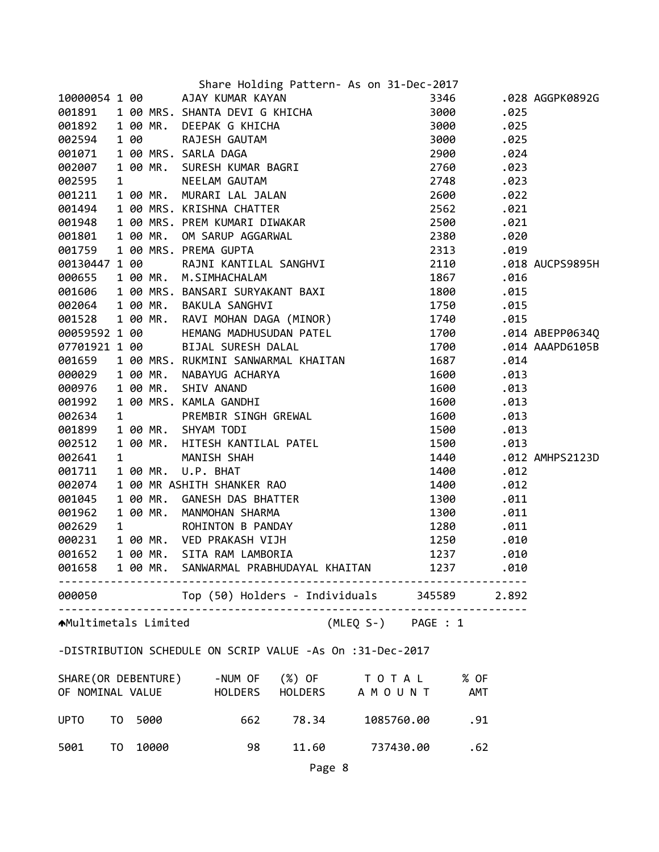|                      |      |      | Share Holding Pattern- As on 31-Dec-2017                                                                                                                                                                                                                                  |                |       |                 |
|----------------------|------|------|---------------------------------------------------------------------------------------------------------------------------------------------------------------------------------------------------------------------------------------------------------------------------|----------------|-------|-----------------|
|                      |      |      | 10000054 1 00 AJAY KUMAR KAYAN                                                                                                                                                                                                                                            | 3346           |       | .028 AGGPK0892G |
| 001891               |      |      |                                                                                                                                                                                                                                                                           | 3000           | .025  |                 |
| 001892               |      |      |                                                                                                                                                                                                                                                                           | 3000           | .025  |                 |
| 002594               |      |      |                                                                                                                                                                                                                                                                           | 3000           | .025  |                 |
| 001071               |      |      |                                                                                                                                                                                                                                                                           | 2900           | .024  |                 |
| 002007               |      |      |                                                                                                                                                                                                                                                                           | 2760           | .023  |                 |
| 002595               |      |      |                                                                                                                                                                                                                                                                           | 2748           | .023  |                 |
| 001211               |      |      |                                                                                                                                                                                                                                                                           | 2600           | .022  |                 |
| 001494               |      |      |                                                                                                                                                                                                                                                                           | 2562           | .021  |                 |
| 001948               |      |      |                                                                                                                                                                                                                                                                           | 2500           | .021  |                 |
| 001801               |      |      |                                                                                                                                                                                                                                                                           | 2380           | .020  |                 |
| 001759               |      |      |                                                                                                                                                                                                                                                                           | 2313           | .019  |                 |
| 00130447 1 00        |      |      |                                                                                                                                                                                                                                                                           | 2110           |       | .018 AUCPS9895H |
| 000655               |      |      |                                                                                                                                                                                                                                                                           | 1867           | .016  |                 |
| 001606               |      |      |                                                                                                                                                                                                                                                                           | 1800           | .015  |                 |
| 002064               |      |      | Share Holding Pattern- As on 31-Dec-<br>100 AJAY KUMAR KAYAN<br>100 MRS. SHANTA DEVIG KHICHA<br>100 MR. DEEPAK G KHICHA<br>100 MRS. SARLA DAGA<br>100 MRS. SARLA DAGA<br>100 MR. SURESH KUMAR BAGRI<br>100 MR. SURESH KUMAR BAGRI<br>100 MR. M<br>1 00 MR. BAKULA SANGHVI | 1750           | .015  |                 |
| 001528               |      |      |                                                                                                                                                                                                                                                                           | 1740           | .015  |                 |
| 00059592 1 00        |      |      | HEMANG MADHUSUDAN PATEL                                                                                                                                                                                                                                                   | 1700           |       | .014 ABEPP0634Q |
|                      |      |      |                                                                                                                                                                                                                                                                           | 1700           |       | .014 AAAPD6105B |
|                      |      |      | 07701921 1 00 BIJAL SURESH DALAL<br>001659 1 00 MRS. RUKMINI SANWARMAL KHAITAN                                                                                                                                                                                            | 1687           | .014  |                 |
| 000029               |      |      | 1 00 MR. NABAYUG ACHARYA                                                                                                                                                                                                                                                  | 1600           | .013  |                 |
| 000976               |      |      |                                                                                                                                                                                                                                                                           | 1600           | .013  |                 |
| 001992               |      |      |                                                                                                                                                                                                                                                                           | 1600           | .013  |                 |
| 002634               |      |      | 100 MRS. RUKMINI SANWARMAL KHAITAN<br>100 MR. NABAYUG ACHARYA<br>100 MR. SHIV ANAND<br>100 MRS. KAMLA GANDHI<br>100 MR. SHYAM TODI<br>100 MR. HITESH KANTILAL PATEL<br>100 MR. HITESH KANTILAL PATEL<br>100 MR. U.P. BHAT<br>100 MR. CANESH DAS BHATTE                    | 1600           | .013  |                 |
| 001899               |      |      |                                                                                                                                                                                                                                                                           | 1500           | .013  |                 |
| 002512               |      |      |                                                                                                                                                                                                                                                                           | 1500           | .013  |                 |
| 002641               |      |      |                                                                                                                                                                                                                                                                           | 1440           |       | .012 AMHPS2123D |
| 001711               |      |      |                                                                                                                                                                                                                                                                           | 1400           | .012  |                 |
| 002074               |      |      |                                                                                                                                                                                                                                                                           | 1400           | .012  |                 |
| 001045               |      |      |                                                                                                                                                                                                                                                                           | 1300           | .011  |                 |
| 001962               |      |      |                                                                                                                                                                                                                                                                           | 1300           | .011  |                 |
| 002629               |      |      |                                                                                                                                                                                                                                                                           | 1280           | .011  |                 |
| 000231               |      |      |                                                                                                                                                                                                                                                                           | 1250           | .010  |                 |
| 001652               |      |      |                                                                                                                                                                                                                                                                           | 1237           | .010  |                 |
|                      |      |      | 001658 1 00 MR. SANWARMAL PRABHUDAYAL KHAITAN                                                                                                                                                                                                                             |                | .010  |                 |
|                      |      |      |                                                                                                                                                                                                                                                                           | 1237 — 1237    |       |                 |
|                      |      |      | 000050 Top (50) Holders - Individuals 345589                                                                                                                                                                                                                              |                | 2.892 |                 |
| AMultimetals Limited |      |      | (MLEQ S-) PAGE : 1                                                                                                                                                                                                                                                        |                |       |                 |
|                      |      |      | -DISTRIBUTION SCHEDULE ON SCRIP VALUE -As On :31-Dec-2017                                                                                                                                                                                                                 |                |       |                 |
|                      |      |      |                                                                                                                                                                                                                                                                           |                |       |                 |
|                      |      |      | SHARE (OR DEBENTURE) -NUM OF (%) OF TO TAL % OF                                                                                                                                                                                                                           |                |       |                 |
|                      |      |      | OF NOMINAL VALUE HOLDERS HOLDERS A M O U N T AMT                                                                                                                                                                                                                          |                |       |                 |
| <b>UPTO</b>          | TO T | 5000 | 78.34<br>662                                                                                                                                                                                                                                                              | 1085760.00 .91 |       |                 |

 TO 10000 98 11.60 737430.00 .62 Page 8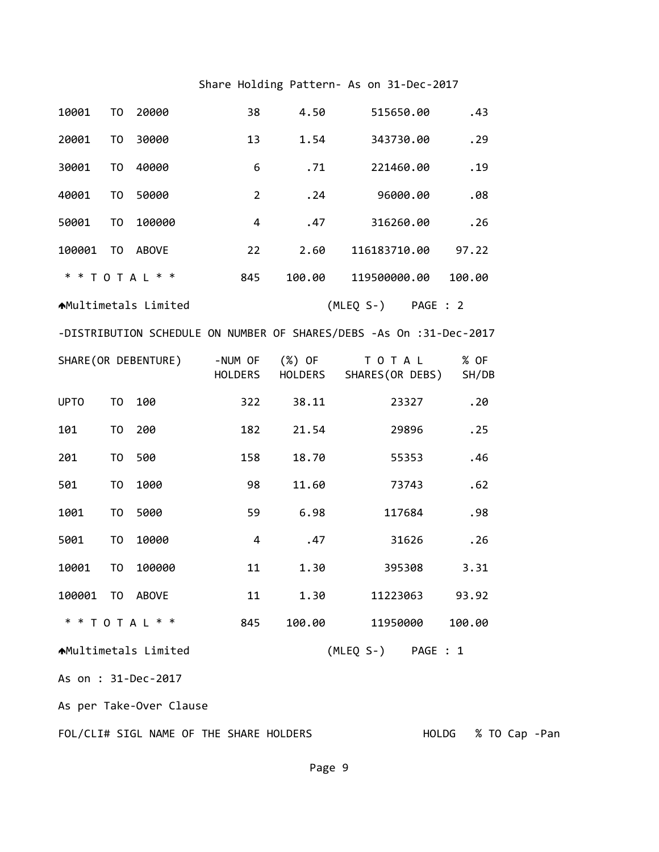## Share Holding Pattern‐ As on 31‐Dec‐2017

| 10001                   | T <sub>0</sub>      | 20000                       | 38                        | 4.50   | 515650.00                                                           | .43           |  |  |  |
|-------------------------|---------------------|-----------------------------|---------------------------|--------|---------------------------------------------------------------------|---------------|--|--|--|
| 20001                   | T <sub>0</sub>      | 30000                       | 13                        | 1.54   | 343730.00                                                           | .29           |  |  |  |
| 30001                   | T <sub>0</sub>      | 40000                       | 6                         | .71    | 221460.00                                                           | .19           |  |  |  |
| 40001                   | T <sub>0</sub>      | 50000                       | $\overline{2}$            | .24    | 96000.00                                                            | .08           |  |  |  |
| 50001                   | T <sub>0</sub>      | 100000                      | 4                         | .47    | 316260.00                                                           | .26           |  |  |  |
| 100001                  | TO                  | <b>ABOVE</b>                | 22                        | 2.60   | 116183710.00                                                        | 97.22         |  |  |  |
|                         |                     | * * T O T A L * *           | 845                       | 100.00 | 119500000.00                                                        | 100.00        |  |  |  |
|                         |                     | <b>AMultimetals Limited</b> |                           |        | (MLEQ S-) PAGE : 2                                                  |               |  |  |  |
|                         |                     |                             |                           |        | -DISTRIBUTION SCHEDULE ON NUMBER OF SHARES/DEBS -As On :31-Dec-2017 |               |  |  |  |
|                         |                     | SHARE (OR DEBENTURE)        | -NUM OF (%) OF<br>HOLDERS |        | T O T A L<br>HOLDERS SHARES(OR DEBS)                                | % OF<br>SH/DB |  |  |  |
| <b>UPTO</b>             | T <sub>0</sub>      | 100                         | 322                       | 38.11  | 23327                                                               | .20           |  |  |  |
| 101                     | T <sub>0</sub>      | 200                         | 182                       | 21.54  | 29896                                                               | .25           |  |  |  |
| 201                     | T <sub>0</sub>      | 500                         | 158                       | 18.70  | 55353                                                               | .46           |  |  |  |
| 501                     | T <sub>0</sub>      | 1000                        | 98                        | 11.60  | 73743                                                               | .62           |  |  |  |
| 1001                    | T <sub>0</sub>      | 5000                        | 59                        | 6.98   | 117684                                                              | .98           |  |  |  |
| 5001                    | T <sub>0</sub>      | 10000                       | 4                         | .47    | 31626                                                               | .26           |  |  |  |
| 10001                   | T <sub>0</sub>      | 100000                      | 11                        | 1.30   | 395308                                                              | 3.31          |  |  |  |
| 100001 TO ABOVE         |                     |                             | 11                        | 1.30   | 11223063                                                            | 93.92         |  |  |  |
|                         |                     | * * T O T A L * *           | 845                       | 100.00 | 11950000                                                            | 100.00        |  |  |  |
|                         |                     | <b>AMultimetals Limited</b> |                           |        | (MLEQ S-) PAGE : 1                                                  |               |  |  |  |
|                         | As on : 31-Dec-2017 |                             |                           |        |                                                                     |               |  |  |  |
| As per Take-Over Clause |                     |                             |                           |        |                                                                     |               |  |  |  |

FOL/CLI# SIGL NAME OF THE SHARE HOLDERS HOLDG % TO Cap ‐Pan